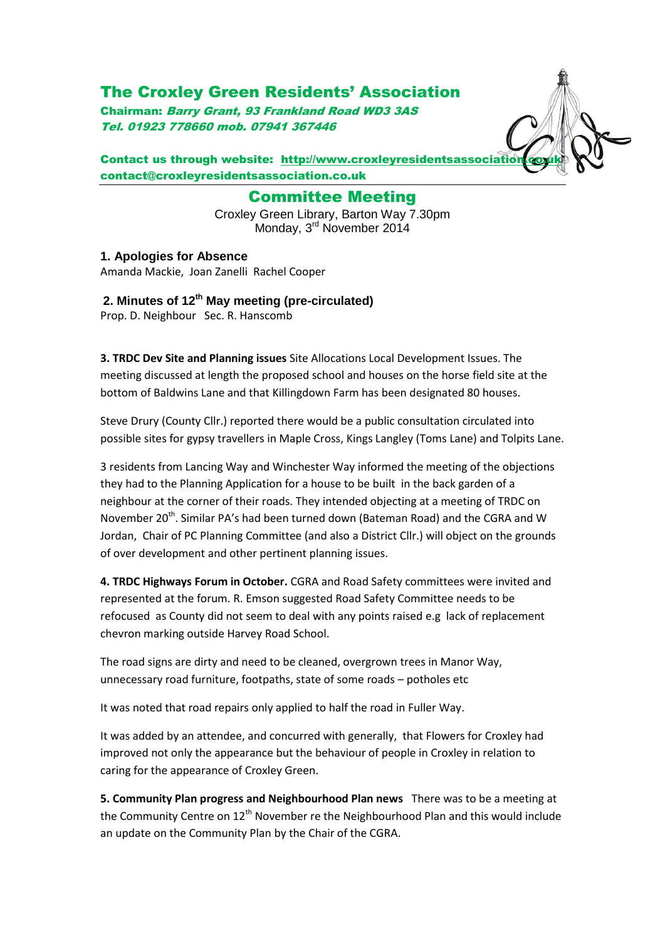## The Croxley Green Residents' Association

Chairman: Barry Grant, 93 Frankland Road WD3 3AS Tel. 01923 778660 mob. 07941 367446

Contact us through website: http://www.croxleyresidentsassociatio contact@croxleyresidentsassociation.co.uk

> Committee Meeting Croxley Green Library, Barton Way 7.30pm

Monday, 3<sup>rd</sup> November 2014

**1. Apologies for Absence** Amanda Mackie, Joan Zanelli Rachel Cooper

**2. Minutes of 12 th May meeting (pre-circulated)**

Prop. D. Neighbour Sec. R. Hanscomb

**3. TRDC Dev Site and Planning issues** Site Allocations Local Development Issues. The meeting discussed at length the proposed school and houses on the horse field site at the bottom of Baldwins Lane and that Killingdown Farm has been designated 80 houses.

Steve Drury (County Cllr.) reported there would be a public consultation circulated into possible sites for gypsy travellers in Maple Cross, Kings Langley (Toms Lane) and Tolpits Lane.

3 residents from Lancing Way and Winchester Way informed the meeting of the objections they had to the Planning Application for a house to be built in the back garden of a neighbour at the corner of their roads. They intended objecting at a meeting of TRDC on November 20<sup>th</sup>. Similar PA's had been turned down (Bateman Road) and the CGRA and W Jordan, Chair of PC Planning Committee (and also a District Cllr.) will object on the grounds of over development and other pertinent planning issues.

**4. TRDC Highways Forum in October.** CGRA and Road Safety committees were invited and represented at the forum. R. Emson suggested Road Safety Committee needs to be refocused as County did not seem to deal with any points raised e.g lack of replacement chevron marking outside Harvey Road School.

The road signs are dirty and need to be cleaned, overgrown trees in Manor Way, unnecessary road furniture, footpaths, state of some roads – potholes etc

It was noted that road repairs only applied to half the road in Fuller Way.

It was added by an attendee, and concurred with generally, that Flowers for Croxley had improved not only the appearance but the behaviour of people in Croxley in relation to caring for the appearance of Croxley Green.

**5. Community Plan progress and Neighbourhood Plan news** There was to be a meeting at the Community Centre on  $12<sup>th</sup>$  November re the Neighbourhood Plan and this would include an update on the Community Plan by the Chair of the CGRA.